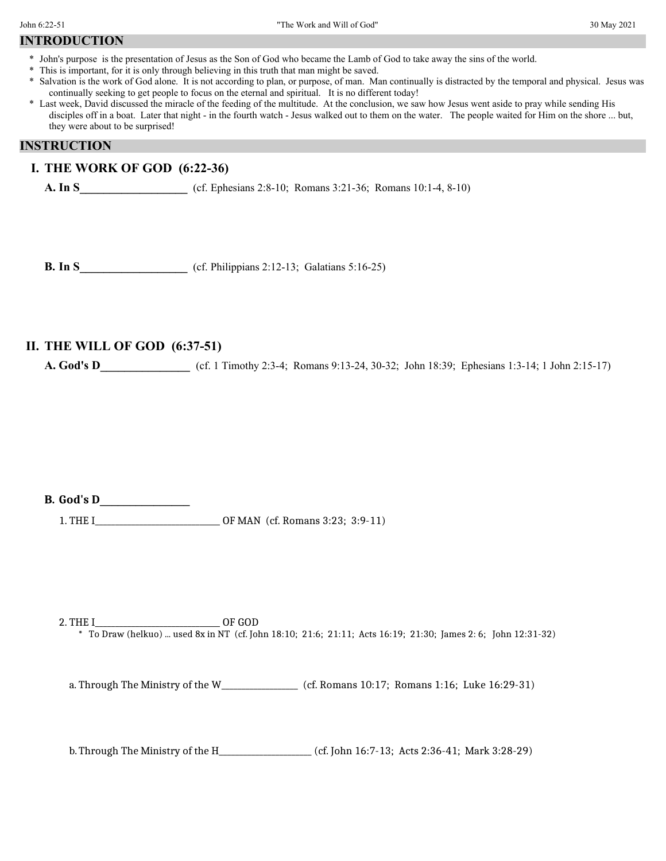## **INTRODUCTION**

- \* John's purpose is the presentation of Jesus as the Son of God who became the Lamb of God to take away the sins of the world.
- \* This is important, for it is only through believing in this truth that man might be saved.
- \* Salvation is the work of God alone. It is not according to plan, or purpose, of man. Man continually is distracted by the temporal and physical. Jesus was continually seeking to get people to focus on the eternal and spiritual. It is no different today!
- \* Last week, David discussed the miracle of the feeding of the multitude. At the conclusion, we saw how Jesus went aside to pray while sending His disciples off in a boat. Later that night - in the fourth watch - Jesus walked out to them on the water. The people waited for Him on the shore ... but, they were about to be surprised!

#### **INSTRUCTION**

#### **I. THE WORK OF GOD (6:22-36)**

**A.** In S <br>(cf. Ephesians 2:8-10; Romans 3:21-36; Romans 10:1-4, 8-10)

**B. In S\_\_\_\_\_\_\_\_\_\_\_\_\_\_\_\_\_\_** (cf. Philippians 2:12-13; Galatians 5:16-25)

## **II. THE WILL OF GOD (6:37-51)**

**A. God's D** (cf. 1 Timothy 2:3-4; Romans 9:13-24, 30-32; John 18:39; Ephesians 1:3-14; 1 John 2:15-17)

**B. God's D\_\_\_\_\_\_\_\_\_\_\_\_\_\_\_**

1. THE I\_\_\_\_\_\_\_\_\_\_\_\_\_\_\_\_\_\_\_\_\_\_\_\_\_\_\_\_\_\_\_ OF MAN (cf. Romans 3:23; 3:9-11)

2. THE I\_\_\_\_\_\_\_\_\_\_\_\_\_\_\_\_\_\_\_\_\_\_\_\_\_\_\_\_\_\_\_ OF GOD \* To Draw (helkuo) ... used 8x in NT (cf. John 18:10; 21:6; 21:11; Acts 16:19; 21:30; James 2: 6; John 12:31-32)

a. Through The Ministry of the W\_\_\_\_\_\_\_\_\_\_\_\_\_\_\_\_\_\_\_\_\_\_ (cf. Romans 10:17; Romans 1:16; Luke 16:29-31)

b.Through The Ministry of the H\_\_\_\_\_\_\_\_\_\_\_\_\_\_\_\_\_\_\_\_\_\_\_ (cf. John 16:7-13; Acts 2:36-41; Mark 3:28-29)